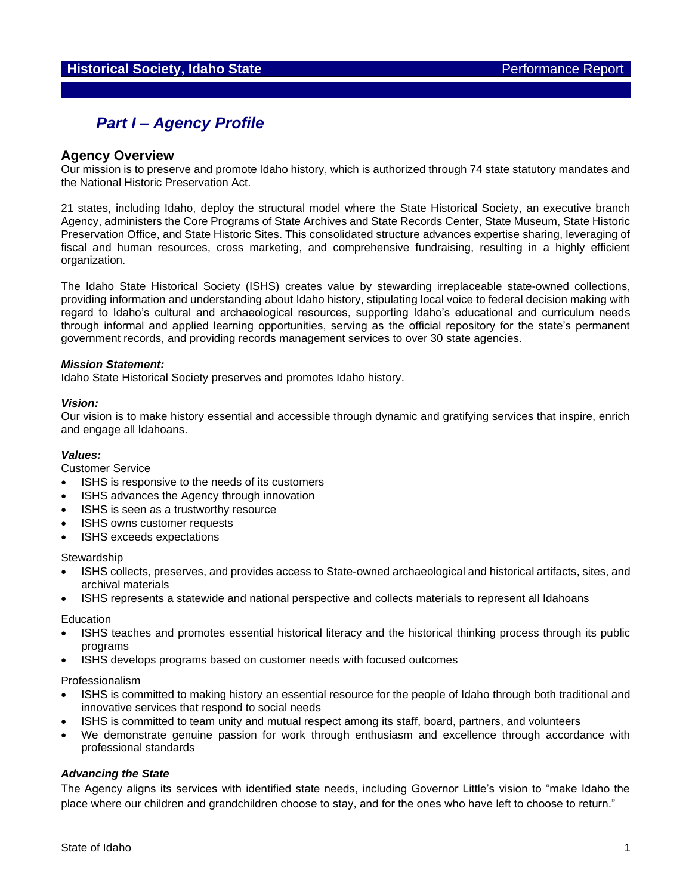# *Part I – Agency Profile*

## **Agency Overview**

Our mission is to preserve and promote Idaho history, which is authorized through 74 state statutory mandates and the National Historic Preservation Act.

21 states, including Idaho, deploy the structural model where the State Historical Society, an executive branch Agency, administers the Core Programs of State Archives and State Records Center, State Museum, State Historic Preservation Office, and State Historic Sites. This consolidated structure advances expertise sharing, leveraging of fiscal and human resources, cross marketing, and comprehensive fundraising, resulting in a highly efficient organization.

The Idaho State Historical Society (ISHS) creates value by stewarding irreplaceable state-owned collections, providing information and understanding about Idaho history, stipulating local voice to federal decision making with regard to Idaho's cultural and archaeological resources, supporting Idaho's educational and curriculum needs through informal and applied learning opportunities, serving as the official repository for the state's permanent government records, and providing records management services to over 30 state agencies.

#### *Mission Statement:*

Idaho State Historical Society preserves and promotes Idaho history.

#### *Vision:*

Our vision is to make history essential and accessible through dynamic and gratifying services that inspire, enrich and engage all Idahoans.

#### *Values:*

Customer Service

- ISHS is responsive to the needs of its customers
- ISHS advances the Agency through innovation
- ISHS is seen as a trustworthy resource
- ISHS owns customer requests
- ISHS exceeds expectations

**Stewardship** 

- ISHS collects, preserves, and provides access to State-owned archaeological and historical artifacts, sites, and archival materials
- ISHS represents a statewide and national perspective and collects materials to represent all Idahoans

**Education** 

- ISHS teaches and promotes essential historical literacy and the historical thinking process through its public programs
- ISHS develops programs based on customer needs with focused outcomes

Professionalism

- ISHS is committed to making history an essential resource for the people of Idaho through both traditional and innovative services that respond to social needs
- ISHS is committed to team unity and mutual respect among its staff, board, partners, and volunteers
- We demonstrate genuine passion for work through enthusiasm and excellence through accordance with professional standards

#### *Advancing the State*

The Agency aligns its services with identified state needs, including Governor Little's vision to "make Idaho the place where our children and grandchildren choose to stay, and for the ones who have left to choose to return."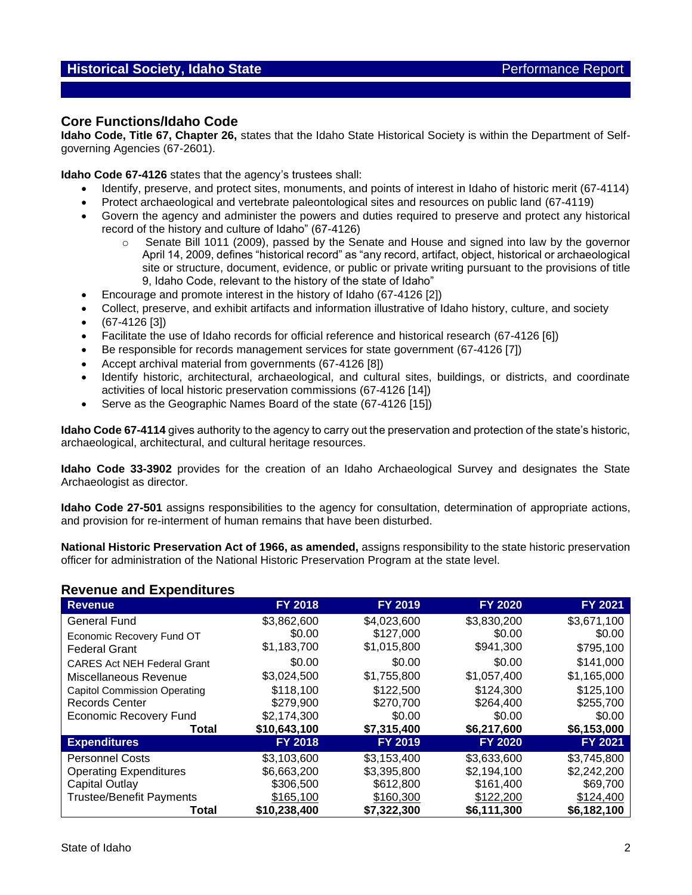## **Core Functions/Idaho Code**

**Idaho Code, Title 67, Chapter 26,** states that the Idaho State Historical Society is within the Department of Selfgoverning Agencies (67-2601).

**Idaho Code 67-4126** states that the agency's trustees shall:

- Identify, preserve, and protect sites, monuments, and points of interest in Idaho of historic merit (67-4114)
- Protect archaeological and vertebrate paleontological sites and resources on public land (67-4119)
- Govern the agency and administer the powers and duties required to preserve and protect any historical record of the history and culture of Idaho" (67-4126)
	- $\circ$  Senate Bill 1011 (2009), passed by the Senate and House and signed into law by the governor April 14, 2009, defines "historical record" as "any record, artifact, object, historical or archaeological site or structure, document, evidence, or public or private writing pursuant to the provisions of title 9, Idaho Code, relevant to the history of the state of Idaho"
- Encourage and promote interest in the history of Idaho (67-4126 [2])
- Collect, preserve, and exhibit artifacts and information illustrative of Idaho history, culture, and society
- (67-4126 [3])
- Facilitate the use of Idaho records for official reference and historical research (67-4126 [6])
- Be responsible for records management services for state government (67-4126 [7])
- Accept archival material from governments (67-4126 [8])
- Identify historic, architectural, archaeological, and cultural sites, buildings, or districts, and coordinate activities of local historic preservation commissions (67-4126 [14])
- Serve as the Geographic Names Board of the state (67-4126 [15])

**Idaho Code 67-4114** gives authority to the agency to carry out the preservation and protection of the state's historic, archaeological, architectural, and cultural heritage resources.

**Idaho Code 33-3902** provides for the creation of an Idaho Archaeological Survey and designates the State Archaeologist as director.

**Idaho Code 27-501** assigns responsibilities to the agency for consultation, determination of appropriate actions, and provision for re-interment of human remains that have been disturbed.

**National Historic Preservation Act of 1966, as amended,** assigns responsibility to the state historic preservation officer for administration of the National Historic Preservation Program at the state level.

### **Revenue and Expenditures**

| <b>Revenue</b>                      | <b>FY 2018</b> | <b>FY 2019</b> | <b>FY 2020</b> | <b>FY 2021</b> |
|-------------------------------------|----------------|----------------|----------------|----------------|
| <b>General Fund</b>                 | \$3,862,600    | \$4,023,600    | \$3,830,200    | \$3,671,100    |
| Economic Recovery Fund OT           | \$0.00         | \$127,000      | \$0.00         | \$0.00         |
| <b>Federal Grant</b>                | \$1,183,700    | \$1,015,800    | \$941,300      | \$795,100      |
| <b>CARES Act NEH Federal Grant</b>  | \$0.00         | \$0.00         | \$0.00         | \$141,000      |
| Miscellaneous Revenue               | \$3,024,500    | \$1,755,800    | \$1,057,400    | \$1,165,000    |
| <b>Capitol Commission Operating</b> | \$118,100      | \$122,500      | \$124,300      | \$125,100      |
| <b>Records Center</b>               | \$279,900      | \$270,700      | \$264,400      | \$255,700      |
| <b>Economic Recovery Fund</b>       | \$2.174.300    | \$0.00         | \$0.00         | \$0.00         |
| Total                               | \$10,643,100   | \$7,315,400    | \$6,217,600    | \$6,153,000    |
| <b>Expenditures</b>                 | <b>FY 2018</b> | <b>FY 2019</b> | <b>FY 2020</b> | <b>FY 2021</b> |
| <b>Personnel Costs</b>              | \$3,103,600    | \$3,153,400    | \$3,633,600    | \$3,745,800    |
| <b>Operating Expenditures</b>       | \$6,663,200    | \$3,395,800    | \$2,194,100    | \$2,242,200    |
| Capital Outlay                      | \$306,500      | \$612,800      | \$161,400      | \$69,700       |
| <b>Trustee/Benefit Payments</b>     | \$165,100      | \$160,300      | \$122,200      | \$124,400      |
| Total                               | \$10,238,400   | \$7,322,300    | \$6,111,300    | \$6,182,100    |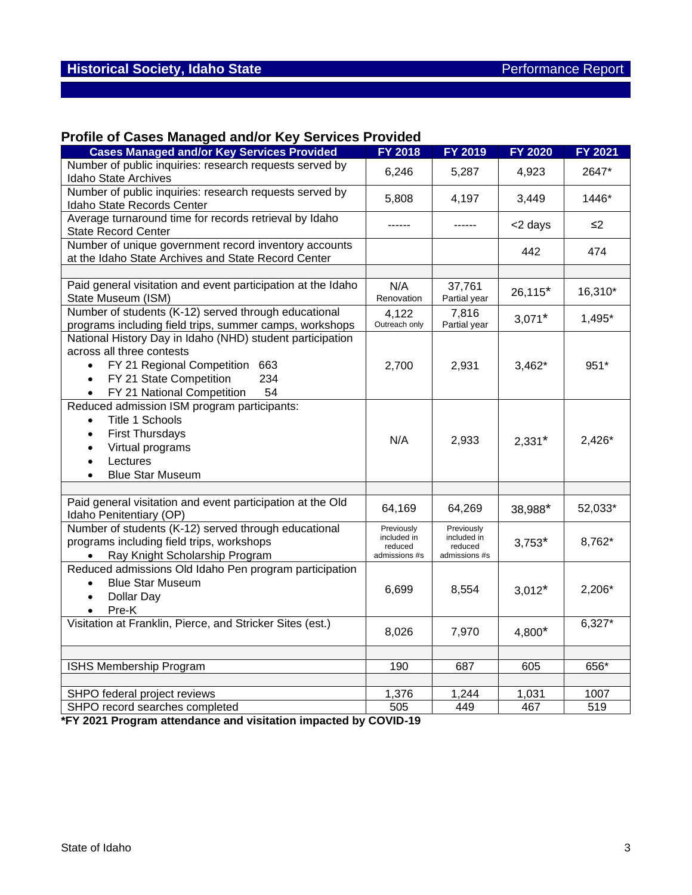# **Profile of Cases Managed and/or Key Services Provided**

| <b>Cases Managed and/or Key Services Provided</b>                                                                                                                                                                        | <b>FY 2018</b>                                        | FY 2019                                               | <b>FY 2020</b> | FY 2021  |
|--------------------------------------------------------------------------------------------------------------------------------------------------------------------------------------------------------------------------|-------------------------------------------------------|-------------------------------------------------------|----------------|----------|
| Number of public inquiries: research requests served by<br>Idaho State Archives                                                                                                                                          | 6,246                                                 | 5,287                                                 | 4,923          | 2647*    |
| Number of public inquiries: research requests served by<br>Idaho State Records Center                                                                                                                                    | 5,808                                                 | 4,197                                                 | 3,449          | 1446*    |
| Average turnaround time for records retrieval by Idaho<br><b>State Record Center</b>                                                                                                                                     | ------                                                | ------                                                | <2 days        | $\leq$ 2 |
| Number of unique government record inventory accounts<br>at the Idaho State Archives and State Record Center                                                                                                             |                                                       |                                                       | 442            | 474      |
|                                                                                                                                                                                                                          |                                                       |                                                       |                |          |
| Paid general visitation and event participation at the Idaho<br>State Museum (ISM)                                                                                                                                       | N/A<br>Renovation                                     | 37,761<br>Partial year                                | $26,115*$      | 16,310*  |
| Number of students (K-12) served through educational<br>programs including field trips, summer camps, workshops                                                                                                          | 4,122<br>Outreach only                                | 7,816<br>Partial year                                 | $3,071*$       | 1,495*   |
| National History Day in Idaho (NHD) student participation<br>across all three contests<br>FY 21 Regional Competition 663<br>234<br>FY 21 State Competition<br>$\bullet$<br>FY 21 National Competition<br>54<br>$\bullet$ | 2,700                                                 | 2,931                                                 | $3,462*$       | 951*     |
| Reduced admission ISM program participants:<br>Title 1 Schools<br>$\bullet$<br><b>First Thursdays</b><br>$\bullet$<br>Virtual programs<br>Lectures<br>$\bullet$<br><b>Blue Star Museum</b><br>$\bullet$                  | N/A                                                   | 2,933                                                 | $2,331*$       | 2,426*   |
|                                                                                                                                                                                                                          |                                                       |                                                       |                |          |
| Paid general visitation and event participation at the Old<br>Idaho Penitentiary (OP)                                                                                                                                    | 64,169                                                | 64,269                                                | 38,988*        | 52,033*  |
| Number of students (K-12) served through educational<br>programs including field trips, workshops<br>Ray Knight Scholarship Program                                                                                      | Previously<br>included in<br>reduced<br>admissions #s | Previously<br>included in<br>reduced<br>admissions #s | $3,753*$       | 8,762*   |
| Reduced admissions Old Idaho Pen program participation<br><b>Blue Star Museum</b><br>Dollar Day<br>Pre-K                                                                                                                 | 6,699                                                 | 8,554                                                 | $3,012*$       | 2,206*   |
| Visitation at Franklin, Pierce, and Stricker Sites (est.)                                                                                                                                                                | 8,026                                                 | 7,970                                                 | 4,800*         | $6,327*$ |
|                                                                                                                                                                                                                          |                                                       |                                                       |                |          |
| ISHS Membership Program                                                                                                                                                                                                  | 190                                                   | 687                                                   | 605            | 656*     |
|                                                                                                                                                                                                                          |                                                       |                                                       |                |          |
| SHPO federal project reviews                                                                                                                                                                                             | 1,376                                                 | 1,244                                                 | 1,031          | 1007     |
| SHPO record searches completed                                                                                                                                                                                           | 505                                                   | 449                                                   | 467            | 519      |

**\*FY 2021 Program attendance and visitation impacted by COVID-19**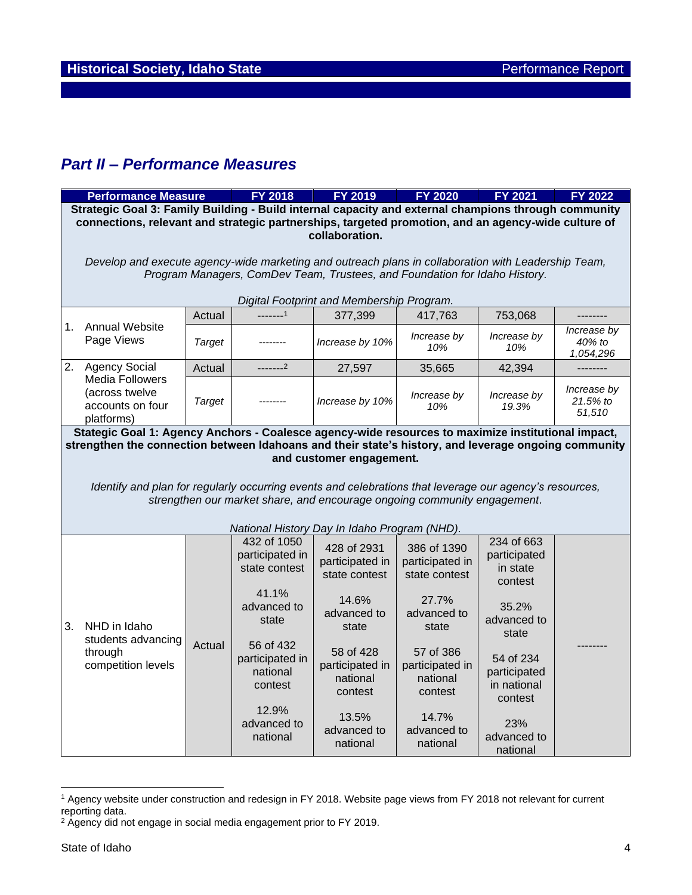# *Part II – Performance Measures*

|                               | <b>Performance Measure</b>                                                                                                                                                                                                             |                                                                                                                                    | <b>FY 2018</b>                                      | FY 2019                                             | <b>FY 2020</b>                                      | <b>FY 2021</b>                                    | <b>FY 2022</b>                    |  |  |
|-------------------------------|----------------------------------------------------------------------------------------------------------------------------------------------------------------------------------------------------------------------------------------|------------------------------------------------------------------------------------------------------------------------------------|-----------------------------------------------------|-----------------------------------------------------|-----------------------------------------------------|---------------------------------------------------|-----------------------------------|--|--|
|                               | Strategic Goal 3: Family Building - Build internal capacity and external champions through community<br>connections, relevant and strategic partnerships, targeted promotion, and an agency-wide culture of<br>collaboration.          |                                                                                                                                    |                                                     |                                                     |                                                     |                                                   |                                   |  |  |
|                               | Develop and execute agency-wide marketing and outreach plans in collaboration with Leadership Team,<br>Program Managers, ComDev Team, Trustees, and Foundation for Idaho History.                                                      |                                                                                                                                    |                                                     |                                                     |                                                     |                                                   |                                   |  |  |
|                               |                                                                                                                                                                                                                                        |                                                                                                                                    | $1 - 1$                                             | Digital Footprint and Membership Program.           |                                                     |                                                   |                                   |  |  |
| 1.                            | <b>Annual Website</b><br>Page Views                                                                                                                                                                                                    | Actual<br><b>Target</b>                                                                                                            |                                                     | 377,399<br>Increase by 10%                          | 417,763<br>Increase by                              | 753,068<br>Increase by                            | Increase by<br>40% to             |  |  |
|                               |                                                                                                                                                                                                                                        |                                                                                                                                    |                                                     |                                                     | 10%                                                 | 10%                                               | 1,054,296                         |  |  |
|                               | 2. Agency Social                                                                                                                                                                                                                       | Actual                                                                                                                             | $---2$                                              | 27,597                                              | 35,665                                              | 42,394                                            | --------                          |  |  |
|                               | <b>Media Followers</b><br>(across twelve<br>accounts on four<br>platforms)                                                                                                                                                             | <b>Target</b>                                                                                                                      |                                                     | Increase by 10%                                     | Increase by<br>10%                                  | Increase by<br>19.3%                              | Increase by<br>21.5% to<br>51,510 |  |  |
|                               | Stategic Goal 1: Agency Anchors - Coalesce agency-wide resources to maximize institutional impact,<br>strengthen the connection between Idahoans and their state's history, and leverage ongoing community<br>and customer engagement. |                                                                                                                                    |                                                     |                                                     |                                                     |                                                   |                                   |  |  |
|                               | Identify and plan for regularly occurring events and celebrations that leverage our agency's resources,<br>strengthen our market share, and encourage ongoing community engagement.<br>National History Day In Idaho Program (NHD).    |                                                                                                                                    |                                                     |                                                     |                                                     |                                                   |                                   |  |  |
|                               |                                                                                                                                                                                                                                        |                                                                                                                                    | 432 of 1050<br>participated in<br>state contest     | 428 of 2931<br>participated in<br>state contest     | 386 of 1390<br>participated in<br>state contest     | 234 of 663<br>participated<br>in state<br>contest |                                   |  |  |
| NHD in Idaho<br>3.<br>through | students advancing<br>competition levels                                                                                                                                                                                               | 41.1%<br>advanced to<br>state<br>56 of 432<br>Actual<br>participated in<br>national<br>contest<br>12.9%<br>advanced to<br>national |                                                     | 14.6%<br>advanced to<br>state                       | 27.7%<br>advanced to<br>state                       | 35.2%<br>advanced to<br>state                     |                                   |  |  |
|                               |                                                                                                                                                                                                                                        |                                                                                                                                    | 58 of 428<br>participated in<br>national<br>contest | 57 of 386<br>participated in<br>national<br>contest | 54 of 234<br>participated<br>in national<br>contest |                                                   |                                   |  |  |
|                               |                                                                                                                                                                                                                                        |                                                                                                                                    |                                                     | 13.5%<br>advanced to<br>national                    | 14.7%<br>advanced to<br>national                    | 23%<br>advanced to<br>national                    |                                   |  |  |

<sup>1</sup> Agency website under construction and redesign in FY 2018. Website page views from FY 2018 not relevant for current reporting data.

<sup>&</sup>lt;sup>2</sup> Agency did not engage in social media engagement prior to FY 2019.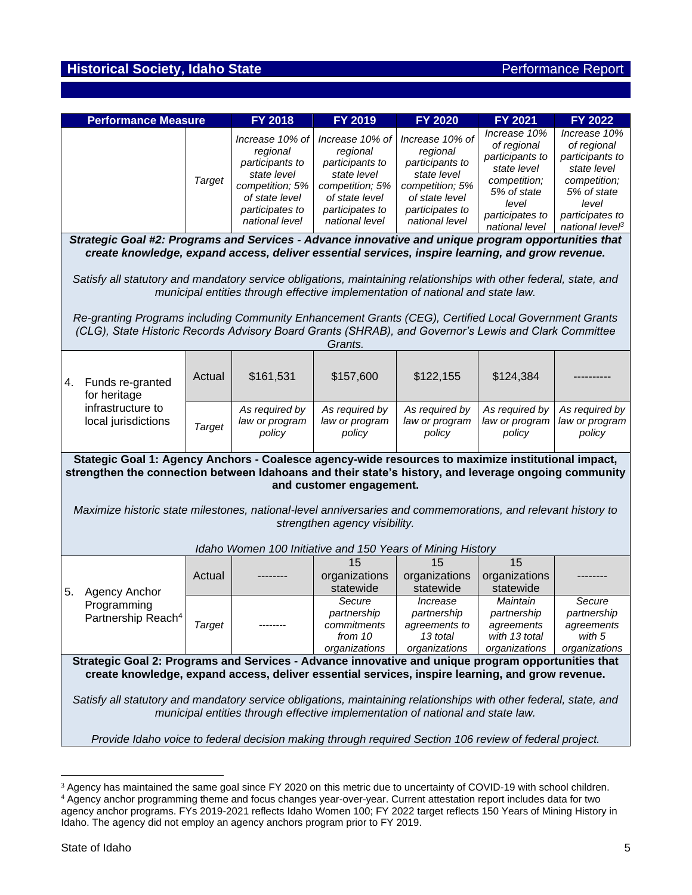# **Historical Society, Idaho State Performance Report Performance Report**

| <b>Performance Measure</b>                                                                                                                                                                                                                                                                                  |               | <b>FY 2018</b>                                                                                                                          | FY 2019                                                                                                                                 | <b>FY 2020</b>                                                                                                                          | <b>FY 2021</b>                                                                                                                             | FY 2022                                                                                                                                    |  |  |
|-------------------------------------------------------------------------------------------------------------------------------------------------------------------------------------------------------------------------------------------------------------------------------------------------------------|---------------|-----------------------------------------------------------------------------------------------------------------------------------------|-----------------------------------------------------------------------------------------------------------------------------------------|-----------------------------------------------------------------------------------------------------------------------------------------|--------------------------------------------------------------------------------------------------------------------------------------------|--------------------------------------------------------------------------------------------------------------------------------------------|--|--|
|                                                                                                                                                                                                                                                                                                             | <b>Target</b> | Increase 10% of<br>regional<br>participants to<br>state level<br>competition; 5%<br>of state level<br>participates to<br>national level | Increase 10% of<br>regional<br>participants to<br>state level<br>competition; 5%<br>of state level<br>participates to<br>national level | Increase 10% of<br>regional<br>participants to<br>state level<br>competition; 5%<br>of state level<br>participates to<br>national level | Increase 10%<br>of regional<br>participants to<br>state level<br>competition;<br>5% of state<br>level<br>participates to<br>national level | Increase 10%<br>of regional<br>participants to<br>state level<br>competition;<br>5% of state<br>level<br>participates to<br>national leveß |  |  |
| Strategic Goal #2: Programs and Services - Advance innovative and unique program opportunities that<br>create knowledge, expand access, deliver essential services, inspire learning, and grow revenue.                                                                                                     |               |                                                                                                                                         |                                                                                                                                         |                                                                                                                                         |                                                                                                                                            |                                                                                                                                            |  |  |
| Satisfy all statutory and mandatory service obligations, maintaining relationships with other federal, state, and<br>municipal entities through effective implementation of national and state law.<br>Re-granting Programs including Community Enhancement Grants (CEG), Certified Local Government Grants |               |                                                                                                                                         |                                                                                                                                         |                                                                                                                                         |                                                                                                                                            |                                                                                                                                            |  |  |
| (CLG), State Historic Records Advisory Board Grants (SHRAB), and Governor's Lewis and Clark Committee                                                                                                                                                                                                       |               |                                                                                                                                         | Grants.                                                                                                                                 |                                                                                                                                         |                                                                                                                                            |                                                                                                                                            |  |  |
| Funds re-granted<br>4.<br>for heritage                                                                                                                                                                                                                                                                      | Actual        | \$161,531                                                                                                                               | \$157,600                                                                                                                               | \$122,155                                                                                                                               | \$124,384                                                                                                                                  |                                                                                                                                            |  |  |
| infrastructure to<br>local jurisdictions                                                                                                                                                                                                                                                                    | <b>Target</b> | As required by<br>law or program<br>policy                                                                                              | As required by<br>law or program<br>policy                                                                                              | As required by<br>law or program<br>policy                                                                                              | As required by<br>law or program<br>policy                                                                                                 | As required by<br>law or program<br>policy                                                                                                 |  |  |
| Stategic Goal 1: Agency Anchors - Coalesce agency-wide resources to maximize institutional impact,<br>strengthen the connection between Idahoans and their state's history, and leverage ongoing community<br>and customer engagement.                                                                      |               |                                                                                                                                         |                                                                                                                                         |                                                                                                                                         |                                                                                                                                            |                                                                                                                                            |  |  |
| Maximize historic state milestones, national-level anniversaries and commemorations, and relevant history to<br>strengthen agency visibility.                                                                                                                                                               |               |                                                                                                                                         |                                                                                                                                         |                                                                                                                                         |                                                                                                                                            |                                                                                                                                            |  |  |
| Idaho Women 100 Initiative and 150 Years of Mining History                                                                                                                                                                                                                                                  |               |                                                                                                                                         |                                                                                                                                         |                                                                                                                                         |                                                                                                                                            |                                                                                                                                            |  |  |
| 5.<br><b>Agency Anchor</b>                                                                                                                                                                                                                                                                                  | Actual        |                                                                                                                                         | 15<br>organizations<br>statewide                                                                                                        | 15<br>organizations<br>statewide                                                                                                        | 15<br>organizations<br>statewide                                                                                                           |                                                                                                                                            |  |  |
| Programming<br>Partnership Reach <sup>4</sup>                                                                                                                                                                                                                                                               | <b>Target</b> |                                                                                                                                         | Secure<br>partnership<br>commitments<br>from 10<br>organizations                                                                        | Increase<br>partnership<br>agreements to<br>13 total<br>organizations                                                                   | Maintain<br>partnership<br>agreements<br>with 13 total<br>organizations                                                                    | Secure<br>partnership<br>agreements<br>with 5<br>organizations                                                                             |  |  |
| Strategic Goal 2: Programs and Services - Advance innovative and unique program opportunities that                                                                                                                                                                                                          |               |                                                                                                                                         |                                                                                                                                         |                                                                                                                                         |                                                                                                                                            |                                                                                                                                            |  |  |
| create knowledge, expand access, deliver essential services, inspire learning, and grow revenue.                                                                                                                                                                                                            |               |                                                                                                                                         |                                                                                                                                         |                                                                                                                                         |                                                                                                                                            |                                                                                                                                            |  |  |
| Satisfy all statutory and mandatory service obligations, maintaining relationships with other federal, state, and<br>municipal entities through effective implementation of national and state law.                                                                                                         |               |                                                                                                                                         |                                                                                                                                         |                                                                                                                                         |                                                                                                                                            |                                                                                                                                            |  |  |
| Provide Idaho voice to federal decision making through required Section 106 review of federal project.                                                                                                                                                                                                      |               |                                                                                                                                         |                                                                                                                                         |                                                                                                                                         |                                                                                                                                            |                                                                                                                                            |  |  |

<sup>&</sup>lt;sup>3</sup> Agency has maintained the same goal since FY 2020 on this metric due to uncertainty of COVID-19 with school children. <sup>4</sup> Agency anchor programming theme and focus changes year-over-year. Current attestation report includes data for two agency anchor programs. FYs 2019-2021 reflects Idaho Women 100; FY 2022 target reflects 150 Years of Mining History in Idaho. The agency did not employ an agency anchors program prior to FY 2019.